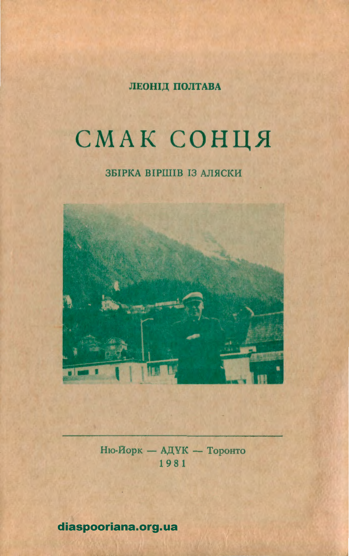ЛЕОНІД ПОЛТАВА

# СМАК СОНЦЯ

# ЗБІРКА ВІРШІВ ІЗ АЛЯСКИ



Ню-Йорк — АДУК — Торонто 1981

diaspooriana.org.ua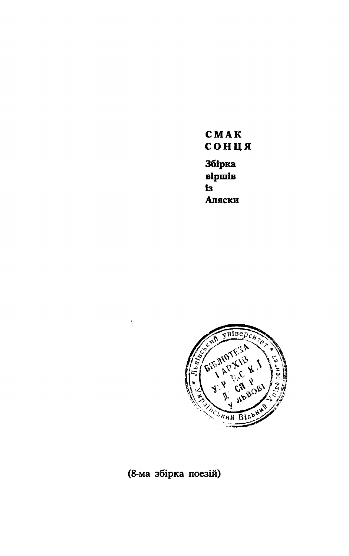CMAK сонця **Збірка Bipinis** i<sub>3</sub> Аляски



# (8-ма збірка поезій)

Ŷ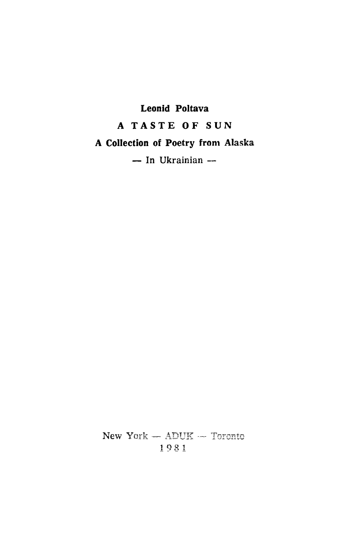# Leonid Poltava A TASTE OF SUN A Collection of Poetry from Alaska  $-$  In Ukrainian  $-$

New York  $-$  ADUK  $-$  Toronto 1981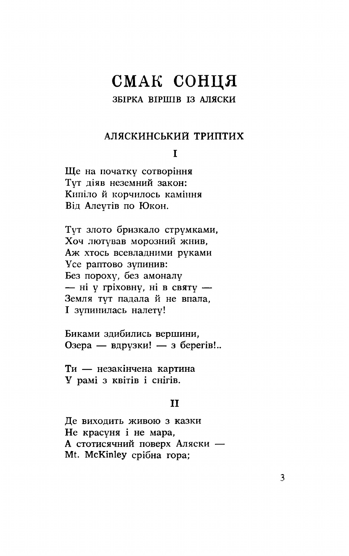# СМАК СОНЦЯ

#### ЗБІРКА ВІРШІВ ІЗ АЛЯСКИ

#### АЛЯСКИНСЬКИЙ ТРИПТИХ

#### $\mathbf{r}$

Ще на початку сотворіння Тут діяв неземний закон: Кипіло й корчилось каміння Від Алеутів по Юкон.

Тут злото бризкало струмками, Хоч лютував морозний жнив. Аж хтось всевладними руками Усе раптово зупинив: Без пороху, без амоналу - ні у гріховну, ні в святу -Земля тут падала й не впала. I зупинилась налету!

Биками здибились вершини, Озера — вдрузки! — з берегів!..

Ти - незакінчена картина У рамі з квітів і снігів.

#### $\mathbf{H}$

Де виходить живою з казки Не красуня і не мара, А стотисячний поверх Аляски -Mt. McKinley срібна гора;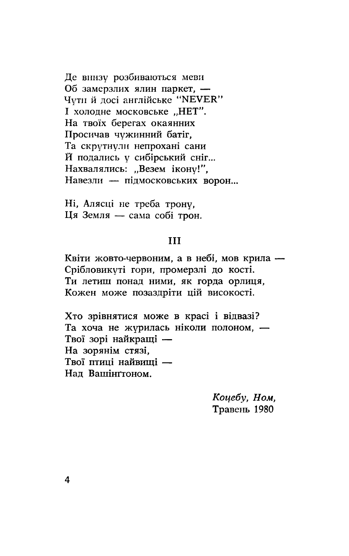Де внизу розбиваються меви Об замерзлих ялин паркет. -Чути й досі англійське "NEVER" I холодне московське "НЕТ". На твоїх берегах окаянних Просичав чужинний батіг, Та скрутнули непрохані сани Й подались у сибірський сніг... Нахвалялись: "Везем ікону!". Навезли - підмосковських ворон...

Ні, Алясці не треба трону, Ця Земля — сама собі трон.

#### **III**

Квіти жовто-червоним, а в небі, мов крила -Срібловикуті гори, промерзлі до кості. Ти летиш понад ними, як горда орлиця, Кожен може позаздріти цій високості.

Хто зрівнятися може в красі і відвазі? Та хоча не журилась ніколи полоном, -Твої зорі найкращі -На зорянім стязі, Твої птиці найвищі -Над Вашінгтоном.

> Коцебу, Ном, Травень 1980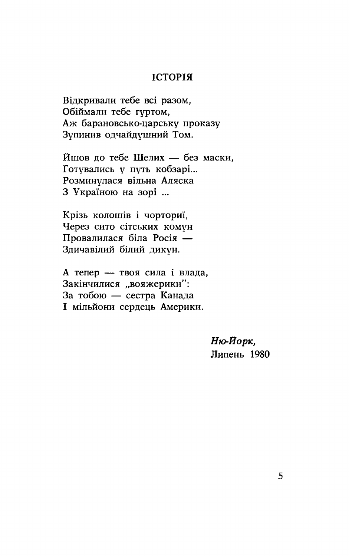#### **ІСТОРІЯ**

Відкривали тебе всі разом, Обіймали тебе гуртом, Аж барановсько-царську проказу Зупинив одчайдушний Том.

Йшов до тебе Шелих - без маски. Готувались у путь кобзарі... Розминулася вільна Аляска З Україною на зорі ...

Крізь колошів і чорториї, Через сито сітських комун Провалилася біла Росія — Здичавілий білий дикун.

А тепер — твоя сила і влада, Закінчилися "вояжерики": За тобою — сестра Канада I мільйони сердець Америки.

> Ню-Йорк, Липень 1980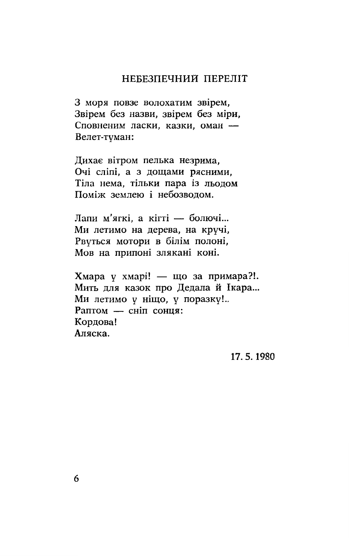## НЕБЕЗПЕЧНИЙ ПЕРЕЛІТ

З моря повзе волохатим звірем, Звірем без назви, звірем без міри, Сповненим ласки, казки, оман -Велет-туман:

Дихає вітром пелька незрима, Очі сліпі, а з дощами рясними, Тіла нема, тільки пара із льодом Поміж землею і небозволом.

Лапи м'ягкі, а кігті — болючі... Ми летимо на дерева, на кручі, Рвуться мотори в білім полоні. Мов на припоні злякані коні.

Хмара у хмарі! — що за примара?!. Мить для казок про Дедала й Ікара... Ми летимо у ніщо, у поразку!.. Раптом - сніп сонця: Корлова! Аляска.

17.5.1980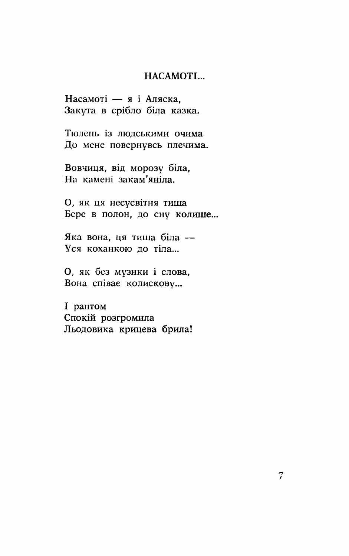#### HACAMOTI...

Насамоті — я і Аляска. Закута в срібло біла казка.

Тюлень із людськими очима До мене повернувсь плечима.

Вовчиця, від морозу біла, На камені закам'яніла.

О, як ця несусвітня тиша Бере в полон, до сну колише...

Яка вона, ця тиша біла -Уся коханкою до тіла...

О, як без музики і слова, Вона співає колискову...

I раптом Спокій розгромила Льодовика крицева брила!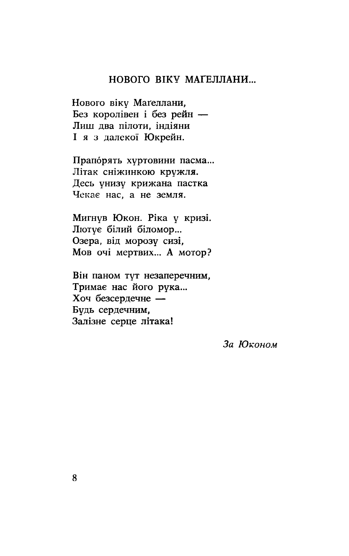#### НОВОГО ВІКУ МАҐЕЛЛАНИ...

Нового віку Маґеллани, Без королівен і без рейн — Лиш два пілоти, індіяни I я з далекої Юкрейн.

Прапорять хуртовини пасма... Літак сніжинкою кружля. Десь унизу крижана пастка Чекає нас, а не земля.

Мигнув Юкон. Ріка у кризі. Лютує білий біломор... Озера, від морозу сизі, Мов очі мертвих... А мотор?

Він паном тут незаперечним, Тримає нас його рука... Хоч безсердечне -Будь сердечним. Залізне серце літака!

За Юконом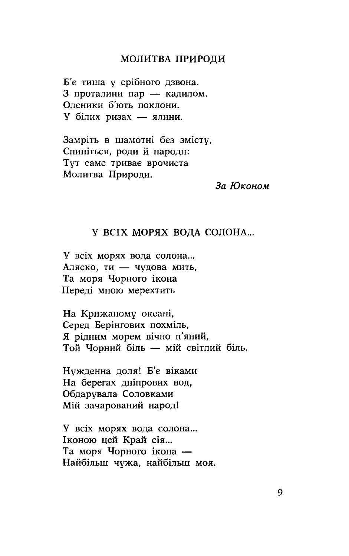#### МОЛИТВА ПРИРОДИ

Б'є тиша у срібного дзвона. 3 проталини пар — кадилом. Оленики б'ють поклони. У білих ризах - ялини.

Замріть в шамотні без змісту, Спиніться, роди й народи: Тут саме тривае врочиста Молитва Природи.

За Юконом

#### У ВСІХ МОРЯХ ВОДА СОЛОНА...

У всіх морях вода солона... Аляско, ти - чудова мить, Та моря Чорного ікона Переді мною мерехтить

На Крижаному океані, Серед Берінгових похміль, Я рідним морем вічно п'яний, Той Чорний біль — мій світлий біль.

Нужденна доля! Б'є віками На берегах дніпрових вод, Обдарувала Соловками Мій зачарований народ!

У всіх морях вода солона... Іконою цей Край сія... Та моря Чорного ікона — Найбільш чужа, найбільш моя.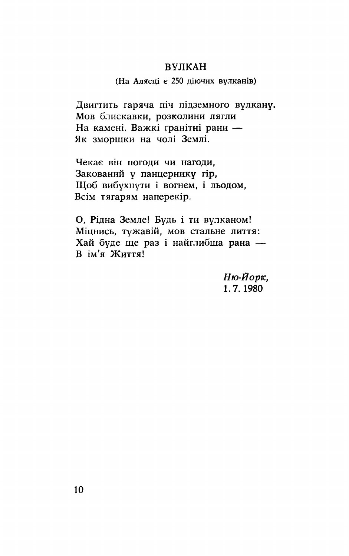#### **ВУЛКАН**

#### (На Алясці є 250 діючих вулканів)

Двигтить гаряча піч підземного вулкану. Мов блискавки, розколини лягли На камені. Важкі гранітні рани — Як зморшки на чолі Землі.

Чекае він погоди чи нагоди. Закований у панцернику гір, Щоб вибухнути і вогнем, і льодом, Всім тягарям наперекір.

О, Рідна Земле! Будь і ти вулканом! Міцнись, тужавій, мов стальне лиття: Хай буде ще раз і найглибша рана — В ім'я Життя!

> Ню-Йорк, 1.7.1980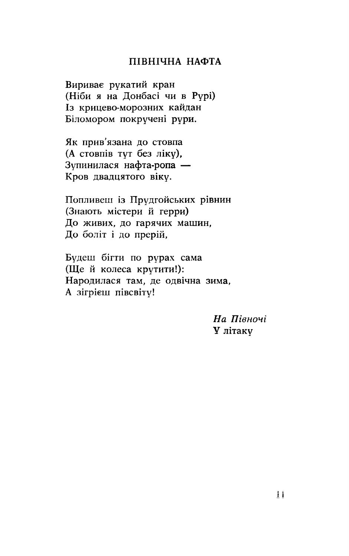#### ПІВНІЧНА НАФТА

Вириває рукатий кран (Ніби я на Донбасі чи в Рурі) Із крицево-морозних кайдан Біломором покручені рури.

Як прив'язана до стовпа (А стовпів тут без ліку). Зупинилася нафта-ропа -Кров двадцятого віку.

Попливеш із Прудгойських рівнин (Знають містери й герри) До живих, до гарячих машин, До боліт і до прерій,

Будеш бігти по рурах сама (Ще й колеса крутити!): Народилася там, де одвічна зима. А зігрієш півсвіту!

> На Півночі У літаку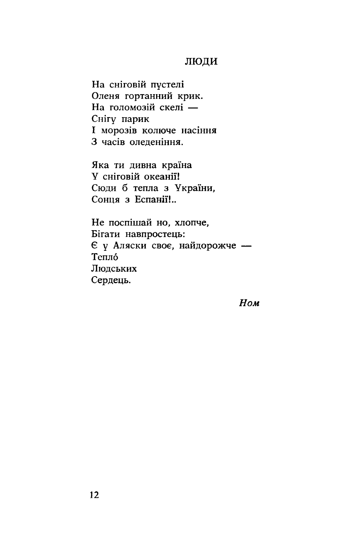#### ЛЮДИ

На сніговій пустелі Оленя гортанний крик. На голомозій скелі -Снігу парик I морозів колюче насіння З часів оледеніння.

Яка ти дивна країна У сніговій океанії! Сюди б тепла з України, Сонця з Еспанії!..

Не поспішай но, хлопче, Бігати навпростець: Є у Аляски своє, найдорожче -Тепло Людських Сердець.

Ном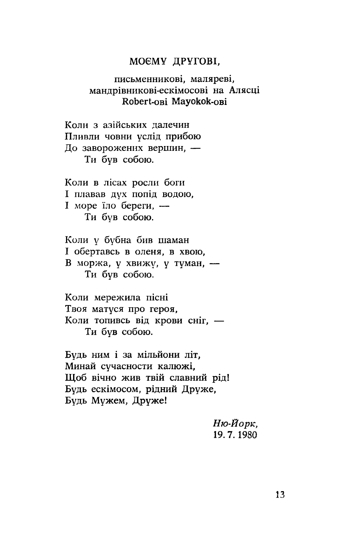#### МОЄМУ ДРУГОВІ,

#### письменникові, маляреві, мандрівникові-ескімосові на Алясці Robert-ові Мауокок-ові

Коли з азійських лалечин Пливли човни услід прибою До заворожених вершин, -Ти був собою.

Коли в лісах росли боги I плавав дух попід водою, I море їло береги. — Ти був собою.

Коли у бубна бив шаман I обертавсь в оленя, в хвою, В моржа, у хвижу, у туман, -Ти був собою.

Коли мережила пісні Твоя матуся про героя, Коли топивсь від крови сніг, -Ти був собою.

Будь ним і за мільйони літ. Минай сучасности калюжі. Шоб вічно жив твій славний рід! Будь ескімосом, рідний Друже, Будь Мужем, Друже!

> Ню-Йорк, 19.7.1980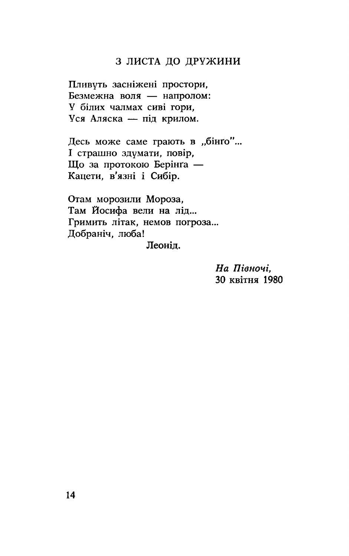#### З ЛИСТА ДО ДРУЖИНИ

Пливуть засніжені простори, Безмежна воля - напролом: У білих чалмах сиві гори, Уся Аляска - під крилом.

Десь може саме грають в "бінго"... I страшно здумати, повір, Що за протокою Берінґа -Кацети, в'язні і Сибір.

Отам морозили Мороза, Там Йосифа вели на лід... Гримить літак, немов погроза... Добраніч, люба! Леоніл.

> На Півночі, 30 квітня 1980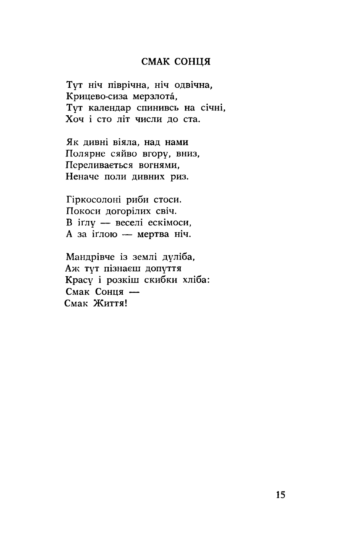#### СМАК СОНЦЯ

Тут ніч піврічна, ніч одвічна, Крицево-сиза мерзлота, Тут календар спинивсь на січні, Хоч і сто літ числи до ста.

Як дивні віяла, над нами Полярне сяйво вгору, вниз, Переливається вогнями, Неначе поли дивних риз.

Гіркосолоні риби стоси. Покоси догорілих свіч. В іглу — веселі ескімоси, А за іглою — мертва ніч.

Мандрівче із землі дуліба, Аж тут пізнаєш допуття Красу і розкіш скибки хліба: Смак Сонця -Смак Життя!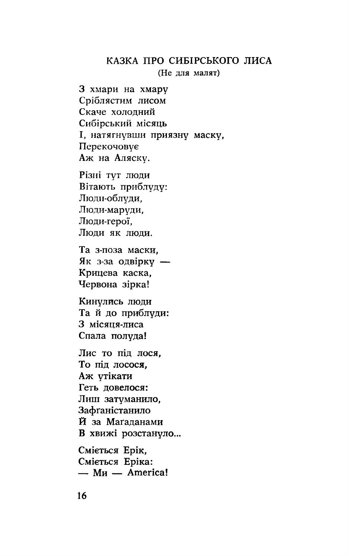#### КАЗКА ПРО СИБІРСЬКОГО ЛИСА

(Не для малят)

3 хмари на хмару Сріблястим лисом Скаче холодний Сибірський місяць I, натягнувши приязну маску, Перекочовує Аж на Аляску.

Різні тут люди Вітають приблуду: Люди-облуди, Люди-маруди, Люди-герої, Люди як люди.

Та з-поза маски, Як з-за одвірку -Крицева каска, Червона зірка!

Кинулись люди Тай до приблуди: З місяця-лиса Спала полуда!

Лис то під лося, То під лосося. Аж утікати Геть довелося: Лиш затуманило, Зафганістанило Й за Магаданами В хвижі розстануло...

Сміється Ерік, Сміється Еріка:  $-M<sub>H</sub>$   $-$  America!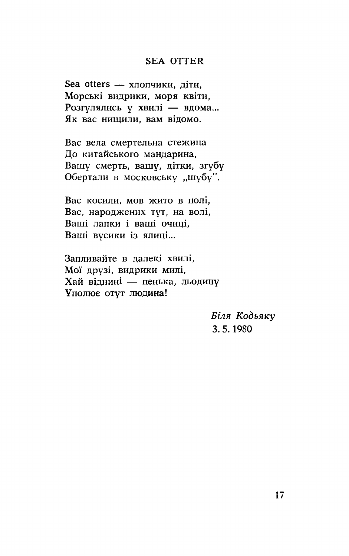#### **SEA OTTER**

Sea otters - хлопчики, діти, Морські видрики, моря квіти, Розгулялись у хвилі - вдома... Як вас нищили, вам відомо.

Вас вела смертельна стежина До китайського мандарина, Вашу смерть, вашу, дітки, згубу Обертали в московську "шубу".

Вас косили, мов жито в полі, Вас, народжених тут, на волі, Ваші лапки і ваші очиці, Ваші вусики із ялиці...

Запливайте в далекі хвилі. Мої друзі, видрики милі, Хай віднині — пенька, льодину Уполює отут людина!

> Біля Кодьяку 3.5.1980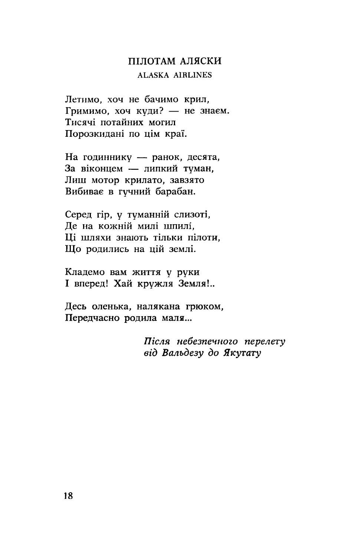# ПІЛОТАМ АЛЯСКИ **ALASKA AIRLINES**

Летимо, хоч не бачимо крил, Гримимо, хоч куди? - не знаем. Тисячі потайних могил Порозкидані по цім краї.

На годиннику — ранок, десята, За віконцем - липкий туман, Лиш мотор крилато, завзято Вибиває в гучний барабан.

Серед гір, у туманній слизоті, Де на кожній милі шпилі. Ці шляхи знають тільки пілоти. Що родились на цій землі.

Кладемо вам життя у руки I вперед! Хай кружля Земля!..

Десь оленька, налякана грюком, Передчасно родила маля...

> Після небезпечного перелету від Вальдезу до Якутату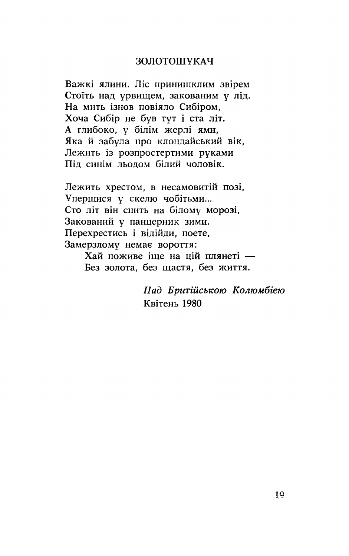#### ЗОЛОТОШУКАЧ

Важкі ялини. Ліс принишклим звірем Стоїть над урвищем, закованим у лід. На мить ізнов повіяло Сибіром, Хоча Сибір не був тут і ста літ. А глибоко, у білім жерлі ями, Яка й забула про клондайський вік. Лежить із розпростертими руками Піл синім льолом білий чоловік.

Лежить хрестом, в несамовитій позі, Упершися у скелю чобітьми... Сто літ він спить на білому морозі, Закований у панцерник зими. Перехрестись і відійди, поете, Замерзлому немає вороття:

> Хай поживе іше на цій плянеті — Без золота, без щастя, без життя.

> > Над Бритійською Колюмбією Квітень 1980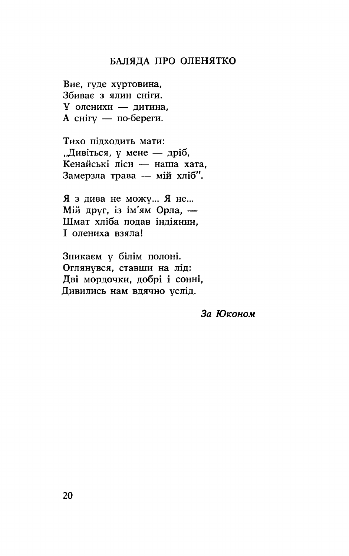## БАЛЯДА ПРО ОЛЕНЯТКО

Виє, гуде хуртовина, Збиває з ялин сніги. У оленихи - дитина, А снігу — по-береги.

Тихо пілхолить мати: "Дивіться, у мене — дріб, Кенайські ліси — наша хата. Замерзла трава - мій хліб".

Я з дива не можу... Я не... Мій друг, із ім'ям Орла, -Шмат хліба подав індіянин. I олениха взяла!

Зникаєм у білім полоні. Оглянувся, ставши на лід: Дві мордочки, добрі і сонні, Дивились нам вдячно услід.

За Юконом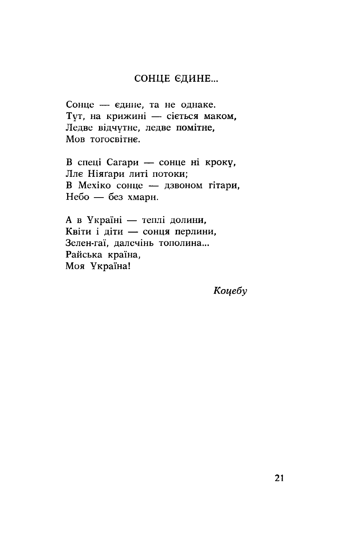#### СОНЦЕ ЄДИНЕ...

Сонце - єдине, та не однаке. Тут, на крижині — сіється маком, Ледве відчутне, ледве помітне, Мов тогосвітне.

В спеці Сагари — сонце ні кроку, Ллє Ніяґари литі потоки; В Мехіко сонце - дзвоном гітари, Небо — без хмари.

А в Україні - теплі долини, Квіти і діти — сонця перлини, Зелен-гаї, далечінь тополина... Райська країна, Моя Україна!

Коцебу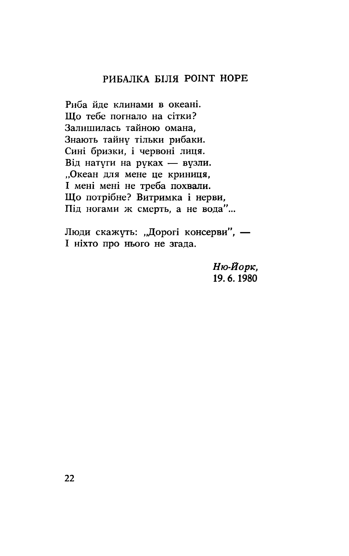# РИБАЛКА БІЛЯ РОІНТ НОРЕ

Риба йле клинами в океані. Що тебе погнало на сітки? Залишилась тайною омана, Знають тайну тільки рибаки. Сині бризки, і червоні лиця. Від натуги на руках — вузли. "Океан для мене це криниця, I мені мені не треба похвали. Що потрібне? Витримка і нерви, Під ногами ж смерть, а не вода"...

Люди скажуть: "Дорогі консерви", -I ніхто про нього не згада.

> Ню-Йорк, 19.6.1980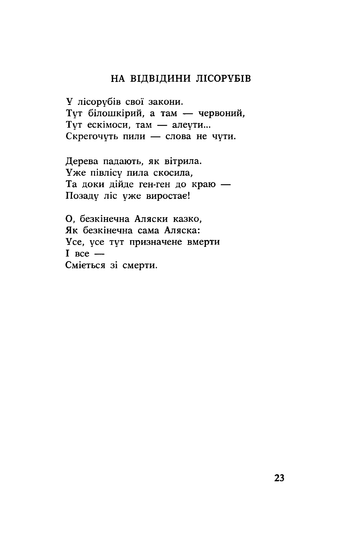# НА ВІДВІДИНИ ЛІСОРУБІВ

У лісорубів свої закони. Тут білошкірий, а там - червоний, Тут ескімоси, там — алеути... Скрегочуть пили - слова не чути.

Дерева падають, як вітрила. Уже півлісу пила скосила, Та доки дійде ген-ген до краю -Позаду ліс уже виростає!

О, безкінечна Аляски казко, Як безкінечна сама Аляска: Усе, усе тут призначене вмерти  $I$  ace  $-$ Сміється зі смерти.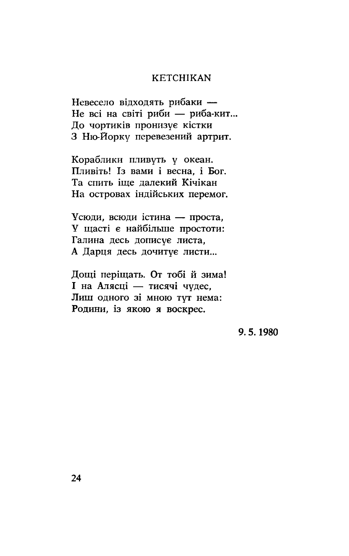#### **KETCHIKAN**

Невесело відходять рибаки -Не всі на світі риби — риба-кит... До чортиків пронизує кістки З Ню-Йорку перевезений артрит.

Кораблики пливуть у океан. Пливіть! Із вами і весна, і Бог. Та спить іше лалекий Кічікан На островах індійських перемог.

Усюди, всюди істина — проста, У щасті є найбільше простоти: Галина десь дописує листа, А Дарця десь дочитує листи...

Дощі періщать. От тобі й зима! I на Алясці — тисячі чудес. Лиш одного зі мною тут нема: Родини, із якою я воскрес.

9.5.1980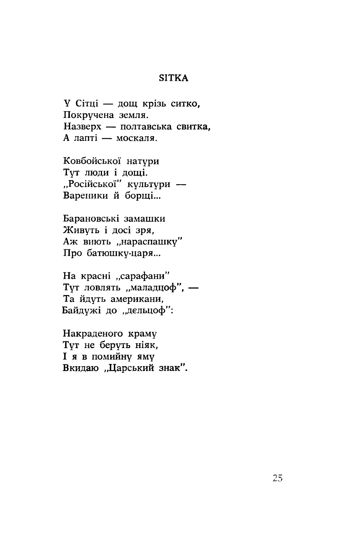#### **SITKA**

У Сітці — дощ крізь ситко, Покручена земля. Назверх - полтавська свитка, А лапті - москаля.

Ковбойської натури Тут люди і дощі.<br>"Російської" культури -Вареники й борщі...

Барановські замашки Живуть і досі зря, Аж виють "нараспашку" Про батюшку-царя...

На красні "сарафани" Тут ловлять "маладцоф", -Та йдуть американи, Байдужі до "дельцоф":

Накраденого краму Тут не беруть ніяк, **I** я в помийну яму Вкидаю "Царський знак".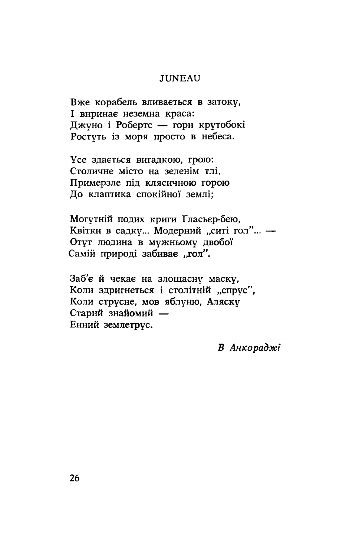#### **JUNEAU**

Вже корабель вливається в затоку, I виринає неземна краса: Джуно і Робертс — гори крутобокі Ростуть із моря просто в небеса.

Усе здається вигадкою, грою: Столичне місто на зеленім тлі. Примерзле під клясичною горою До клаптика спокійної землі;

Могутній подих криги Гласьер-бею, Квітки в садку... Модерний "ситі гол"... -Отут людина в мужньому двобої Самій природі забивае "гол".

Заб'є й чекає на злощасну маску, Коли здригнеться і столітній "спрус", Коли струсне, мов яблуню, Аляску Старий знайомий -Енний землетрус.

В Анкораджі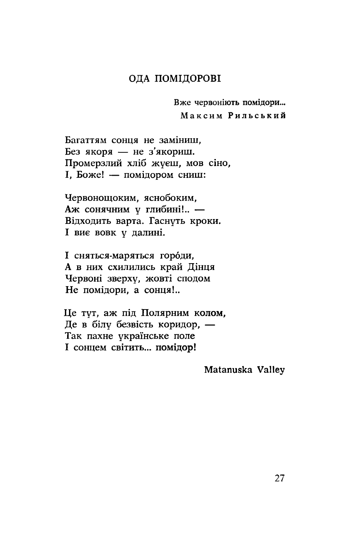#### ОДА ПОМІДОРОВІ

Вже червоніють помідори... Максим Рильський

Багаттям сонця не заміниш. Без якоря — не з'якориш. Промерзлий хліб жуєш, мов сіно, I, Боже! - помідором сниш:

Червонощоким, яснобоким, Аж сонячним у глибині!.. -Відходить варта. Гаснуть кроки. I вие вовк у далині.

I сняться-маряться городи, А в них схилились край Дінця Червоні зверху, жовті сподом Не помідори, а сонця!..

Це тут, аж під Полярним колом, Де в білу безвість коридор, -Так пахне українське поле I сонцем світить... помідор!

Matanuska Valley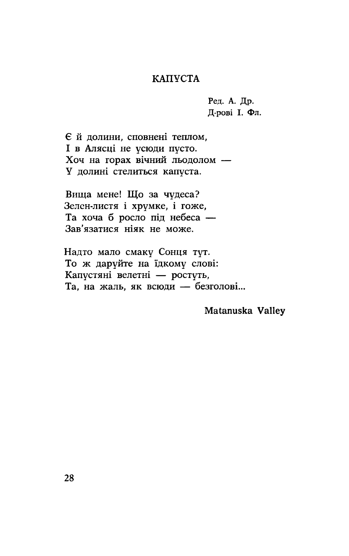#### КАПУСТА

Ред. А. Др. Д-рові І. Фл.

Є й долини, сповнені теплом, I в Алясці не усюди пусто. Хоч на горах вічний льодолом -У долині стелиться капуста.

Вища мене! Що за чудеса? Зелен-листя і хрумке, і гоже, Та хоча б росло під небеса -Зав'язатися ніяк не може.

Надто мало смаку Сонця тут. То ж даруйте на їдкому слові: Капустяні велетні — ростуть, Та, на жаль, як всюди — безголові...

Matanuska Valley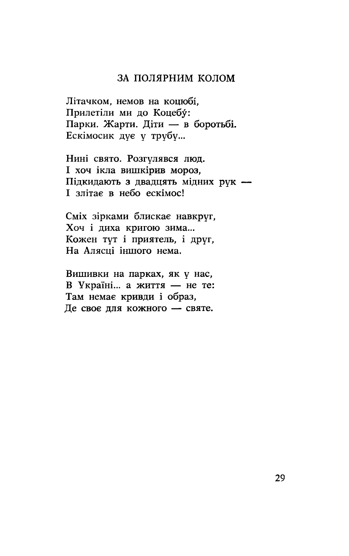#### ЗА ПОЛЯРНИМ КОЛОМ

Літачком, немов на коцюбі, Прилетіли ми до Коцебу: Парки. Жарти. Діти — в боротьбі. Ескімосик дує у трубу...

Нині свято. Розгулявся люд. I хоч ікла вишкірив мороз, Підкидають з двадцять мідних рук -І злітає в небо ескімос!

Сміх зірками блискає навкруг, Хоч і диха кригою зима... Кожен тут і приятель, і друг, На Алясці іншого нема.

Вишивки на парках, як у нас, В Україні... а життя - не те: Там немає кривди і образ, Де своє для кожного - святе.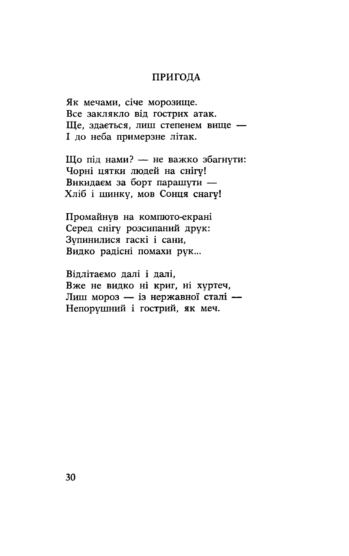#### ПРИГОДА

Як мечами, січе морозище. Все заклякло від гострих атак. Ше, здається, лиш степенем вище -I до неба примерзне літак.

Що під нами? — не важко збагнути: Чорні цятки людей на снігу! Викидаем за борт парашути -Хліб і шинку, мов Сонця снагу!

Промайнув на компюто-екрані Серед снігу розсипаний друк: Зупинилися гаскі і сани, Видко радісні помахи рук...

Відлітаємо далі і далі. Вже не видко ні криг, ні хуртеч, Лиш мороз - із нержавної сталі -Непорушний і гострий, як меч.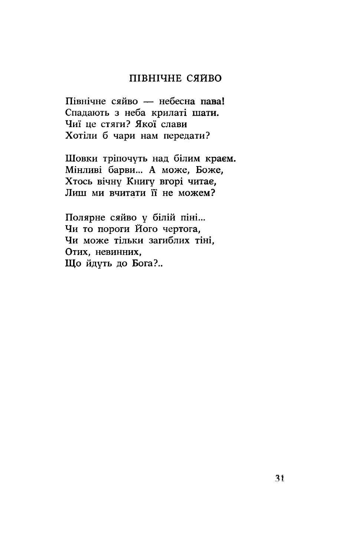#### ПІВНІЧНЕ СЯЙВО

Північне сяйво — небесна пава! Спадають з неба крилаті шати. Чиї це стяги? Якої слави Хотіли б чари нам передати?

Шовки тріпочуть над білим краєм. Мінливі барви... А може, Боже, Хтось вічну Книгу вгорі читае, Лиш ми вчитати її не можем?

Полярне сяйво у білій піні... Чи то пороги Його чертога, Чи може тільки загиблих тіні, Отих, невинних, Шо йдуть до Бога?..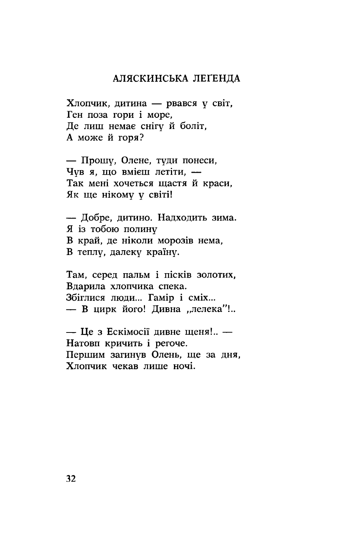#### АЛЯСКИНСЬКА ЛЕГЕНДА

Хлопчик, дитина - рвався у світ, Ген поза гори і море, Де лиш немає снігу й боліт, А може й горя?

— Прошу, Олене, туди понеси, Чув я, що вмієш летіти. -Так мені хочеться щастя й краси, Як ще нікому у світі!

— Добре, дитино. Надходить зима. Я із тобою полину В край, де ніколи морозів нема, В теплу, далеку країну.

Там, серед пальм і пісків золотих, Вдарила хлопчика спека. Збіглися люди... Гамір і сміх... - В цирк його! Дивна "лелека"!..

- Це з Ескімосії дивне щеня!.. -Натовп кричить і регоче. Першим загинув Олень, ще за дня, Хлопчик чекав лише ночі.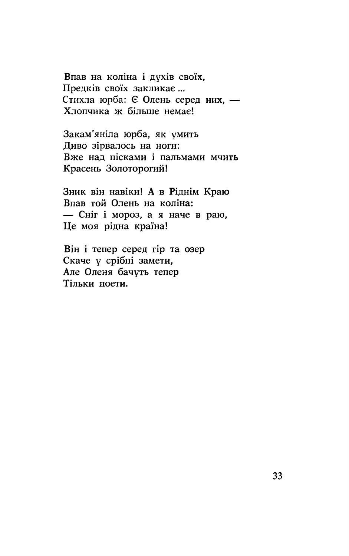Впав на коліна і духів своїх, Предків своїх закликає ... Стихла юрба: Є Олень серед них. -Хлопчика ж більше немає!

Закам'яніла юрба, як умить Диво зірвалось на ноги: Вже над пісками і пальмами мчить Красень Золоторогий!

Зник він навіки! А в Ріднім Краю Впав той Олень на коліна: - Сніг і мороз, а я наче в раю, Це моя рідна країна!

Він і тепер серед гір та озер Скаче у срібні замети, Але Оленя бачуть тепер Тільки поети.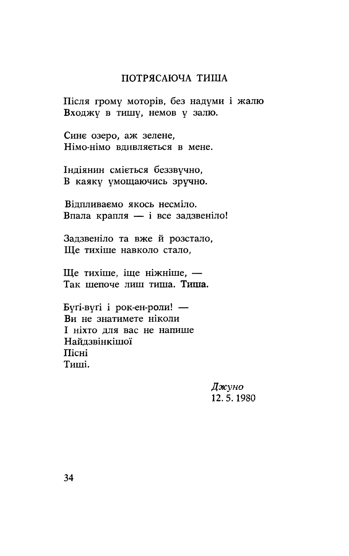## ПОТРЯСАЮЧА ТИША

Після грому моторів, без надуми і жалю Входжу в тишу, немов у залю.

Сине озеро, аж зелене, Німо-німо вдивляється в мене.

Індіянин сміється беззвучно, В каяку умощаючись зручно.

Відпливаємо якось несміло. Впала крапля - і все задзвеніло!

Задзвеніло та вже й розстало, Ще тихіше навколо стало,

Ще тихіше, іще ніжніше, -Так шепоче лиш тиша. Тиша.

Бугі-вугі і рок-ен-роли! — Ви не знатимете ніколи I ніхто для вас не напише Найдзвінкішої Пісні Типпі.

> Джуно 12.5.1980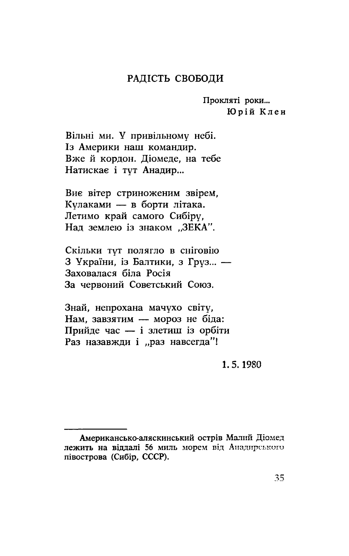#### РАДІСТЬ СВОБОДИ

Прокляті роки... Юрій Клен

Вільні ми. У привільному небі. Із Америки наш командир. Вже й кордон. Діомеде, на тебе Натискае і тут Анадир...

Виє вітер стриноженим звірем, Кулаками - в борти літака. Летимо край самого Сибіру. Нал землею із знаком ..ЗЕКА".

Скільки тут полягло в сніговію 3 України, із Балтики, з Груз... -Заховалася біла Росія За червоний Советський Союз.

Знай, непрохана мачухо світу, Нам. завзятим - мороз не біда: Прийде час - і злетиш із орбіти Раз назавжди і "раз навсегда"!

1.5.1980

Американсько-аляскинський острів Малий Діомед лежить на віддалі 56 миль морем від Анадирського півострова (Сибір, СССР).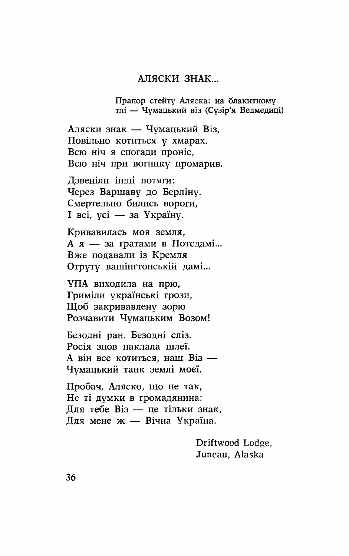#### АЛЯСКИ ЗНАК...

Прапор стейту Аляска: на блакитному тлі — Чумацький віз (Сузір'я Ведмедиці)

Аляски знак — Чумацький Віз, Повільно котиться у хмарах. Всю ніч я спогади проніс, Всю ніч при вогнику промарив.

Дзвеніли інші потяги: Через Варшаву до Берліну. Смертельно бились вороги, I всі, усі — за Україну.

Кривавилась моя земля, А я — за гратами в Потсдамі... Вже попавали із Кремля Отруту вашінгтонській дамі...

УПА виходила на прю, Гриміли українські грози, Щоб закривавлену зорю Розчавити Чумацьким Возом!

Безодні ран. Безодні сліз. Росія знов наклала шлеї. А він все котиться, наш Віз — Чумацький танк землі моєї.

Пробач, Аляско, що не так, Не ті думки в громадянина: Для тебе Віз — це тільки знак, ...<br>Для мене ж — Вічна Україна.

> Driftwood Lodge, Juneau, Alaska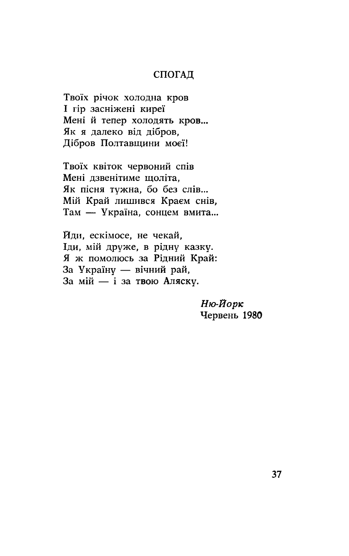#### СПОГАД

Твоїх річок холодна кров I гір засніжені киреї Мені й тепер холодять кров... Як я далеко від дібров, Дібров Полтавщини моєї!

Твоїх квіток червоний спів Мені лзвенітиме шоліта. Як пісня тужна, бо без слів... Мій Край лишився Краєм снів, Там - Україна, сонцем вмита...

Йди, ескімосе, не чекай. Іди, мій друже, в рідну казку. Я ж помолюсь за Рідний Край: За Україну — вічний рай, За мій - і за твою Аляску.

> Ню-Йорк Червень 1980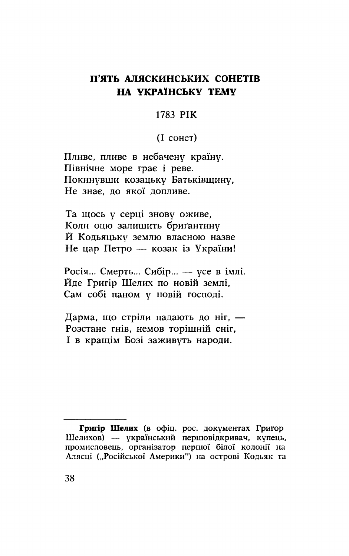# П'ЯТЬ АЛЯСКИНСЬКИХ СОНЕТІВ НА УКРАЇНСЬКУ ТЕМУ

#### 1783 PIK

#### $(I \text{[Coher})$

Пливе, пливе в небачену країну. Північне море грає і реве. Покинувши козацьку Батьківщину, Не знає, до якої допливе.

Та щось у серці знову оживе, Коли оцю залишить бригантину Й Кодьяцьку землю власною назве Не цар Петро - козак із України!

Росія... Смерть... Сибір... — усе в імлі. Йде Григір Шелих по новій землі. Сам собі паном у новій господі.

Дарма, що стріли падають до ніг, -Розстане гнів, немов торішній сніг, I в кращім Бозі заживуть народи.

Григір Шелих (в офіц. рос. документах Григор Шелихов) - український першовідкривач, купець, промисловець, організатор першої білої колонії на Алясці ("Російської Америки") на острові Кодьяк та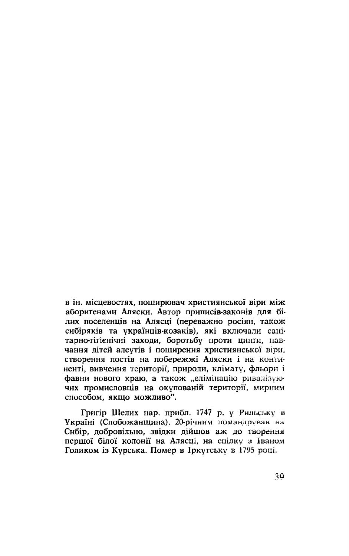в ін. місцевостях, поширювач християнської віри між аборигенами Аляски. Автор приписів-законів для білих поселенців на Алясці (переважно росіян, також сибіряків та українців-козаків), які включали санітарно-гігієнічні заходи, боротьбу проти ципти, навчання дітей алеутів і поширення християнської віри. створення постів на побережжі Аляски і на континенті, вивчення території, природи, клімату, фльори і фавни нового краю, а також "елімінацію ривалізуючих промисловців на окупованій території, мирним способом, якщо можливо".

Григір Шелих нар. прибл. 1747 р. у Рильську в Україні (Слобожанщина). 20-річним помандрував на Сибір, добровільно, звідки дійшов аж до творення першої білої колонії на Алясці, на спілку з Іваном Голиком із Курська. Помер в Іркутську в 1795 році.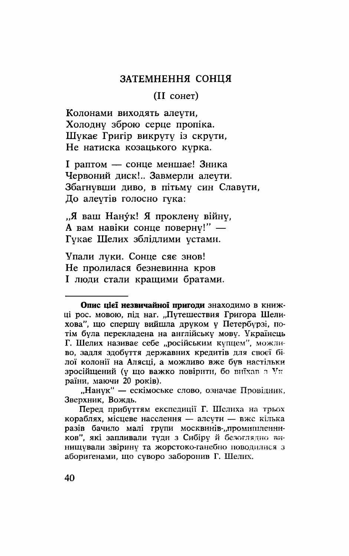#### ЗАТЕМНЕННЯ СОНЦЯ

(II сонет)

Колонами виходять алеути, Холодну зброю серце пропіка. Шукає Григір викруту із скрути, Не натиска козацького курка.

I раптом — сонце меншає! Зника Червоний диск!.. Завмерли алеути. Збагнувши диво, в пітьму син Славути, До алеутів голосно гука:

"Я ваш Нану́к! Я проклену війну, А вам навіки сонце поверну!" — Гукає Шелих зблідлими устами.

Упали луки. Сонце сяє знов! Не пролилася безневинна кров I люди стали кращими братами.

Опис цієї незвичайної пригоди знаходимо в книжці рос. мовою, під наг. "Путешествия Григора Шелихова". що спершу вийшла друком у Петербурзі, потім була перекладена на англійську мову. Українець Г. Шелих називає себе "російським купцем", можливо, задля здобуття державних кредитів для своєї білої колонії на Алясці, а можливо вже був настільки зросійщений (у що важко повірити, бо виїхав з Ук раїни, маючи 20 років).

<sup>&</sup>quot;Нанук" — ескімоське слово, означає Провідник, Зверхник, Вождь.

Перед прибуттям експедиції Г. Шелиха на трьох кораблях, місцеве населення - алеути - вже кілька разів бачило малі групи москвинів-"промишленников", які запливали туди з Сибіру й безоглядно винищували звірину та жорстоко-ганебно поводилися з аборигенами, що суворо заборонив Г. Шелих.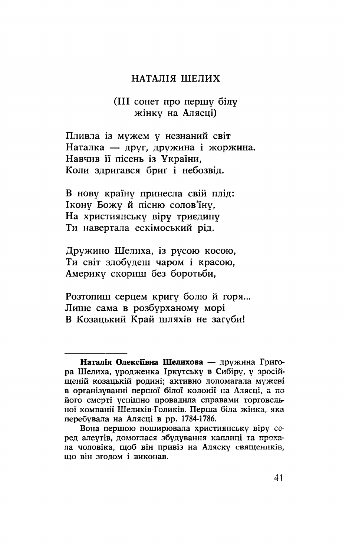#### НАТАЛІЯ ШЕЛИХ

#### (III сонет про першу білу жінку на Алясці)

Пливла із мужем у незнаний світ Наталка — друг, дружина і жоржина. Навчив її пісень із України, Коли здригався бриг і небозвід.

В нову країну принесла свій плід: Ікону Божу й пісню солов'їну. На християнську віру триєдину Ти навертала ескімоський рід.

Дружино Шелиха, із русою косою, Ти світ здобудеш чаром і красою, Америку скориш без боротьби.

Розтопиш серцем кригу болю й горя... Лише сама в розбурханому морі В Козацький Край шляхів не загуби!

Наталія Олексіївна Шелихова — дружина Григора Шелиха, уродженка Іркутську в Сибіру, у зросійщеній козацькій родині: активно допомагала мужеві в організуванні першої білої колонії на Алясці, а по його смерті успішно провадила справами торговельної компанії Шелихів-Голиків. Перша біла жінка, яка перебувала на Алясці в рр. 1784-1786.

Вона першою поширювала християнську віру серед алеутів, домоглася збудування каплиці та прохала чоловіка, щоб він привіз на Аляску священиків, що він згодом і виконав.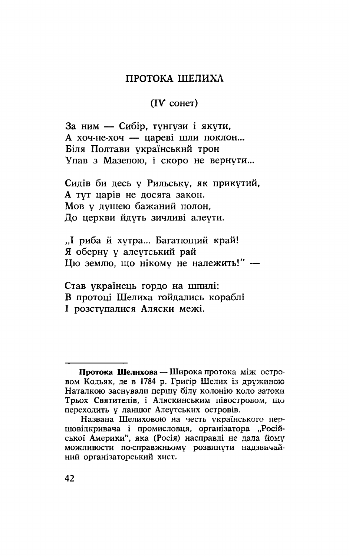#### ПРОТОКА ШЕЛИХА

#### $(IV)$  coher)

За ним - Сибір, тунґузи і якути, А хоч-не-хоч - цареві шли поклон... Біля Полтави український трон Упав з Мазепою, і скоро не вернути...

Сидів би десь у Рильську, як прикутий, А тут царів не досяга закон. Мов у душею бажаний полон, До церкви йдуть зичливі алеути.

"І риба й хутра… Багатющий край! Я оберну у алеутський рай Цю землю, що нікому не належить!" -

Став українець гордо на шпилі: В протоці Шелиха гойдались кораблі I розступалися Аляски межі.

Протока Шелихова - Широка протока між островом Кодьяк, де в 1784 р. Григір Шелих із дружиною Наталкою заснували першу білу колонію коло затоки Трьох Святителів, і Аляскинським півостровом, що переходить у ланцюг Алеутських островів.

Названа Шелиховою на честь українського першовідкривача і промисловця, організатора "Російської Америки", яка (Росія) насправді не дала йому можливости по-справжньому розвинути надзвичайний організаторський хист.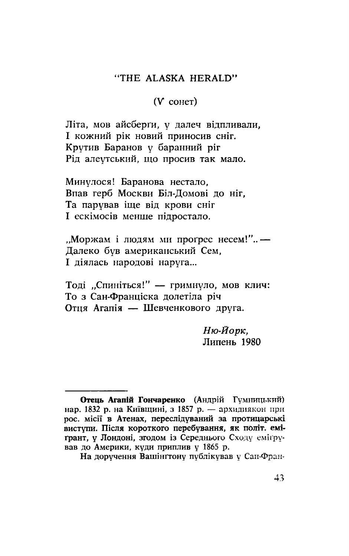#### "THE ALASKA HERALD"

#### $(V$  coher)

Літа, мов айсберги, у далеч відпливали, I кожний рік новий приносив сніг. Крутив Баранов у баранний ріг Рід алеутський, що просив так мало.

Минулося! Баранова нестало, Впав герб Москви Біл-Домові до ніг. Та парував іще від крови сніг I ескімосів менше підростало.

"Моржам і людям ми прогрес несем!".. -Далеко був американський Сем. I діялась народові наруга...

Тоді "Спиніться!" - гримнуло, мов клич: То з Сан-Франціска долетіла річ Отця Агапія — Шевченкового друга.

> Ню-Йорк, Липень 1980

Отець Агапій Гончаренко (Андрій Гумницький) нар. 1832 р. на Київщині, з 1857 р. — архидиякон при рос. місії в Атенах, переслідуваний за протицарські виступи. Після короткого перебування, як політ. емігрант, у Лондоні, згодом із Середнього Сходу еміґрував до Америки, куди приплив у 1865 р.

На доручення Вашінгтону публікував у Сан-Фран-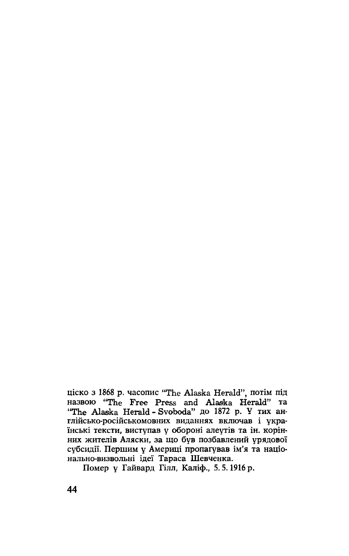ціско з 1868 р. часопис "The Alaska Herald", потім під Ha3BOIO "The Free Press and Alaska Herald" Ta "The Alaska Herald - Svoboda" до 1872 р. У тих англійсько-російськомовних виданнях включав і українські тексти, виступав у обороні алеутів та ін. корінних жителів Аляски, за що був позбавлений урядової субсидії. Першим у Америці пропагував ім'я та національно-визвольні ідеї Тараса Шевченка.

Помер у Гайвард Гілл, Каліф., 5.5.1916 р.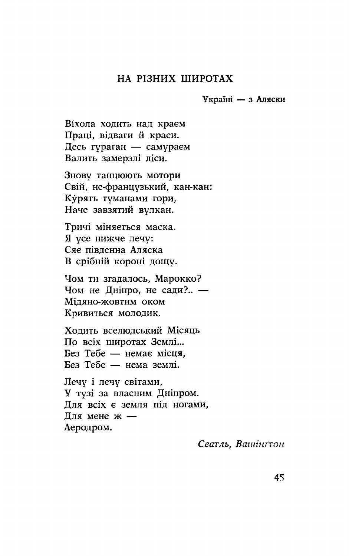#### НА РІЗНИХ ШИРОТАХ

Україні - з Аляски

Віхола ходить над краєм Праці, відваги й краси. Десь гураган — самураем Валить замерзлі ліси.

Знову танцюють мотори Свій, не-французький, кан-кан: Курять туманами гори, Наче завзятий вулкан.

Тричі міняється маска. Я усе нижче лечу: Сяє півленна Аляска В срібній короні дощу.

Чом ти згадалось, Марокко? Чом не Дніпро, не сади?.. — Мідяно-жовтим оком Кривиться молодик.

Холить вселюлський Місяць По всіх широтах Землі... Без Тебе — немає місця, Без Тебе — нема землі.

Лечу і лечу світами. У тузі за власним Дніпром. Для всіх є земля під ногами, Для мене ж -Аеродром.

Сеатль, Вашінгтон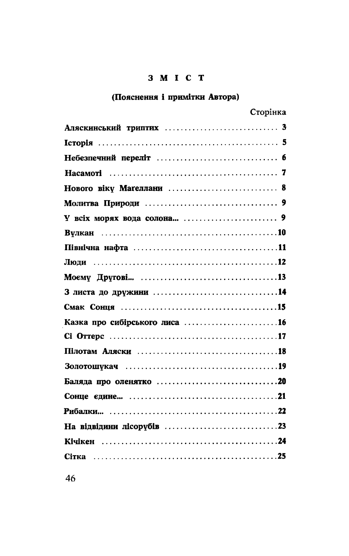#### 3 M I C T

# (Пояснення і примітки Автора)

|                          | Сторінка |
|--------------------------|----------|
|                          |          |
|                          |          |
|                          |          |
|                          |          |
| Нового віку Маґеллани  8 |          |
|                          |          |
|                          |          |
|                          |          |
|                          |          |
|                          |          |
|                          |          |
|                          |          |
|                          |          |
|                          |          |
|                          |          |
|                          |          |
|                          |          |
|                          |          |
|                          |          |
|                          |          |
|                          |          |
|                          |          |
|                          |          |
|                          |          |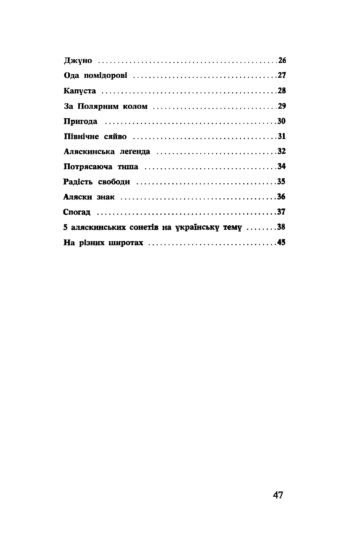| 5 аляскинських сонетів на українську тему 38 |
|----------------------------------------------|
|                                              |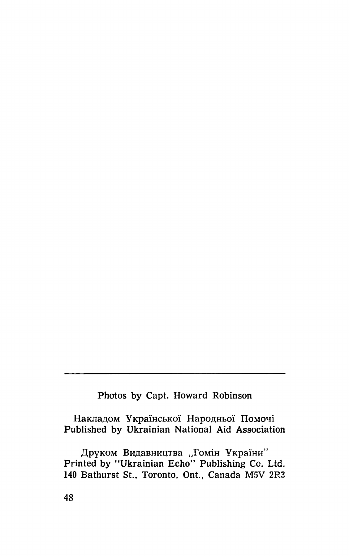# Photos by Capt. Howard Robinson

Накладом Української Народньої Помочі Published by Ukrainian National Aid Association

Друком Видавництва "Гомін України" Printed by "Ukrainian Echo" Publishing Co. Ltd. 140 Bathurst St., Toronto, Ont., Canada M5V 2R3